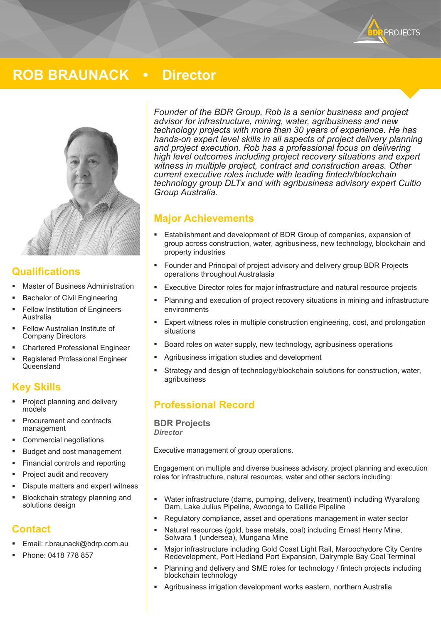**PROJECTS** 

# **ROB BRAUNACK • Director**



#### **Qualifications**

- Master of Business Administration
- Bachelor of Civil Engineering
- Fellow Institution of Engineers Australia
- Fellow Australian Institute of Company Directors
- Chartered Professional Engineer
- Registered Professional Engineer **Queensland**

#### **Key Skills**

- Project planning and delivery models
- Procurement and contracts management
- Commercial negotiations
- Budget and cost management
- Financial controls and reporting
- Project audit and recovery
- Dispute matters and expert witness
- Blockchain strategy planning and solutions design

### **Contact**

- Email: r.braunack@bdrp.com.au
- Phone: 0418 778 857

*Founder of the BDR Group, Rob is a senior business and project advisor for infrastructure, mining, water, agribusiness and new technology projects with more than 30 years of experience. He has hands-on expert level skills in all aspects of project delivery planning and project execution. Rob has a professional focus on delivering high level outcomes including project recovery situations and expert witness in multiple project, contract and construction areas. Other current executive roles include with leading fintech/blockchain technology group DLTx and with agribusiness advisory expert Cultio Group Australia.* 

#### **Major Achievements**

- Establishment and development of BDR Group of companies, expansion of group across construction, water, agribusiness, new technology, blockchain and property industries
- Founder and Principal of project advisory and delivery group BDR Projects operations throughout Australasia
- Executive Director roles for major infrastructure and natural resource projects
- Planning and execution of project recovery situations in mining and infrastructure environments
- Expert witness roles in multiple construction engineering, cost, and prolongation situations
- Board roles on water supply, new technology, agribusiness operations
- Agribusiness irrigation studies and development
- Strategy and design of technology/blockchain solutions for construction, water, agribusiness

## **Professional Record**

**BDR Projects** *Director*

Executive management of group operations.

Engagement on multiple and diverse business advisory, project planning and execution roles for infrastructure, natural resources, water and other sectors including:

- Water infrastructure (dams, pumping, delivery, treatment) including Wyaralong Dam, Lake Julius Pipeline, Awoonga to Callide Pipeline
- Regulatory compliance, asset and operations management in water sector
- Natural resources (gold, base metals, coal) including Ernest Henry Mine, Solwara 1 (undersea), Mungana Mine
- Major infrastructure including Gold Coast Light Rail, Maroochydore City Centre Redevelopment, Port Hedland Port Expansion, Dalrymple Bay Coal Terminal
- Planning and delivery and SME roles for technology / fintech projects including blockchain technology
- Agribusiness irrigation development works eastern, northern Australia